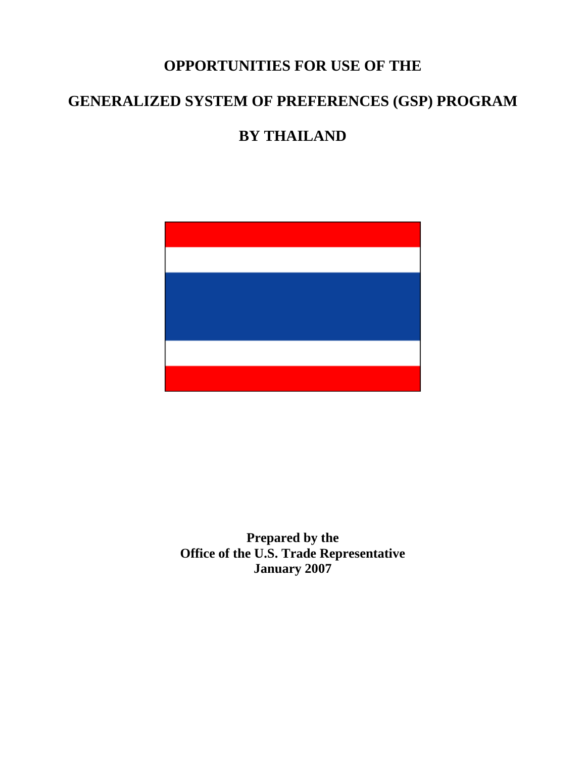# **OPPORTUNITIES FOR USE OF THE**

# **GENERALIZED SYSTEM OF PREFERENCES (GSP) PROGRAM**

# **BY THAILAND**



**Prepared by the Office of the U.S. Trade Representative January 2007**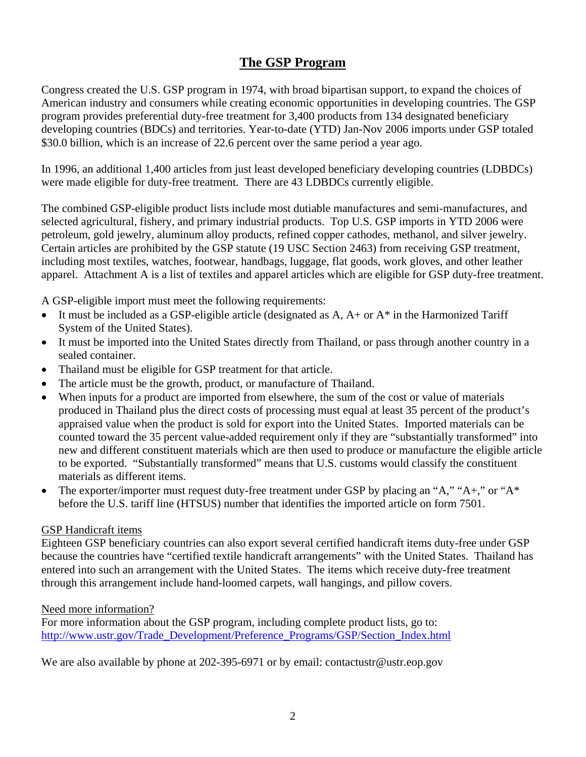## **The GSP Program**

Congress created the U.S. GSP program in 1974, with broad bipartisan support, to expand the choices of American industry and consumers while creating economic opportunities in developing countries. The GSP program provides preferential duty-free treatment for 3,400 products from 134 designated beneficiary developing countries (BDCs) and territories. Year-to-date (YTD) Jan-Nov 2006 imports under GSP totaled \$30.0 billion, which is an increase of 22.6 percent over the same period a year ago.

In 1996, an additional 1,400 articles from just least developed beneficiary developing countries (LDBDCs) were made eligible for duty-free treatment. There are 43 LDBDCs currently eligible.

The combined GSP-eligible product lists include most dutiable manufactures and semi-manufactures, and selected agricultural, fishery, and primary industrial products. Top U.S. GSP imports in YTD 2006 were petroleum, gold jewelry, aluminum alloy products, refined copper cathodes, methanol, and silver jewelry. Certain articles are prohibited by the GSP statute (19 USC Section 2463) from receiving GSP treatment, including most textiles, watches, footwear, handbags, luggage, flat goods, work gloves, and other leather apparel. Attachment A is a list of textiles and apparel articles which are eligible for GSP duty-free treatment.

A GSP-eligible import must meet the following requirements:

- It must be included as a GSP-eligible article (designated as  $A$ ,  $A$ + or  $A^*$  in the Harmonized Tariff System of the United States).
- It must be imported into the United States directly from Thailand, or pass through another country in a sealed container.
- Thailand must be eligible for GSP treatment for that article.
- The article must be the growth, product, or manufacture of Thailand.
- When inputs for a product are imported from elsewhere, the sum of the cost or value of materials produced in Thailand plus the direct costs of processing must equal at least 35 percent of the product's appraised value when the product is sold for export into the United States. Imported materials can be counted toward the 35 percent value-added requirement only if they are "substantially transformed" into new and different constituent materials which are then used to produce or manufacture the eligible article to be exported. "Substantially transformed" means that U.S. customs would classify the constituent materials as different items.
- The exporter/importer must request duty-free treatment under GSP by placing an "A," "A+," or "A\* before the U.S. tariff line (HTSUS) number that identifies the imported article on form 7501.

### GSP Handicraft items

Eighteen GSP beneficiary countries can also export several certified handicraft items duty-free under GSP because the countries have "certified textile handicraft arrangements" with the United States. Thailand has entered into such an arrangement with the United States. The items which receive duty-free treatment through this arrangement include hand-loomed carpets, wall hangings, and pillow covers.

### Need more information?

For more information about the GSP program, including complete product lists, go to: [http://www.ustr.gov/Trade\\_Development/Preference\\_Programs/GSP/Section\\_Index.html](http://www.ustr.gov/Trade_Development/Preference_Programs/GSP/Section_Index.html)

We are also available by phone at 202-395-6971 or by email: contactustr@ustr.eop.gov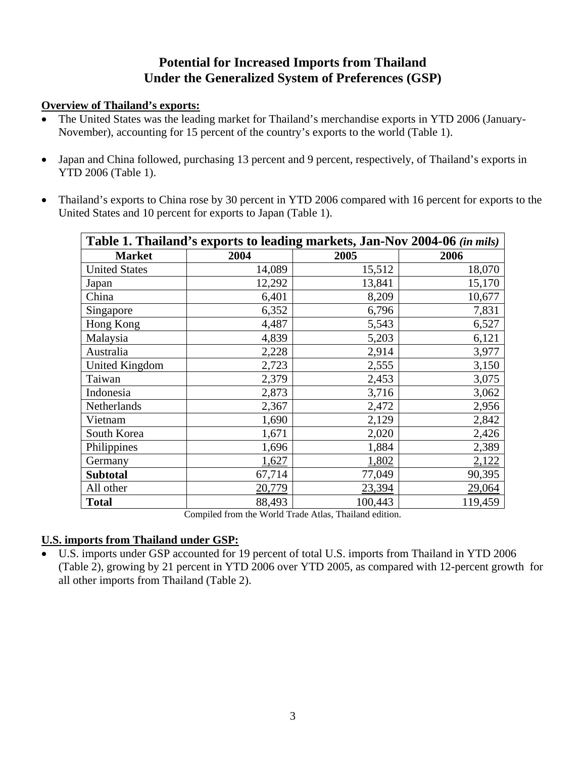# **Potential for Increased Imports from Thailand Under the Generalized System of Preferences (GSP)**

### **Overview of Thailand's exports:**

- The United States was the leading market for Thailand's merchandise exports in YTD 2006 (January-November), accounting for 15 percent of the country's exports to the world (Table 1).
- Japan and China followed, purchasing 13 percent and 9 percent, respectively, of Thailand's exports in YTD 2006 (Table 1).
- Thailand's exports to China rose by 30 percent in YTD 2006 compared with 16 percent for exports to the United States and 10 percent for exports to Japan (Table 1).

|                      |        | Table 1. Thailand's exports to leading markets, Jan-Nov 2004-06 (in mils) |         |
|----------------------|--------|---------------------------------------------------------------------------|---------|
| <b>Market</b>        | 2004   | 2005                                                                      | 2006    |
| <b>United States</b> | 14,089 | 15,512                                                                    | 18,070  |
| Japan                | 12,292 | 13,841                                                                    | 15,170  |
| China                | 6,401  | 8,209                                                                     | 10,677  |
| Singapore            | 6,352  | 6,796                                                                     | 7,831   |
| Hong Kong            | 4,487  | 5,543                                                                     | 6,527   |
| Malaysia             | 4,839  | 5,203                                                                     | 6,121   |
| Australia            | 2,228  | 2,914                                                                     | 3,977   |
| United Kingdom       | 2,723  | 2,555                                                                     | 3,150   |
| Taiwan               | 2,379  | 2,453                                                                     | 3,075   |
| Indonesia            | 2,873  | 3,716                                                                     | 3,062   |
| Netherlands          | 2,367  | 2,472                                                                     | 2,956   |
| Vietnam              | 1,690  | 2,129                                                                     | 2,842   |
| South Korea          | 1,671  | 2,020                                                                     | 2,426   |
| Philippines          | 1,696  | 1,884                                                                     | 2,389   |
| Germany              | 1,627  | 1,802                                                                     | 2,122   |
| <b>Subtotal</b>      | 67,714 | 77,049                                                                    | 90,395  |
| All other            | 20,779 | 23,394                                                                    | 29,064  |
| <b>Total</b>         | 88,493 | 100,443                                                                   | 119,459 |

Compiled from the World Trade Atlas, Thailand edition.

## **U.S. imports from Thailand under GSP:**

• U.S. imports under GSP accounted for 19 percent of total U.S. imports from Thailand in YTD 2006 (Table 2), growing by 21 percent in YTD 2006 over YTD 2005, as compared with 12-percent growth for all other imports from Thailand (Table 2).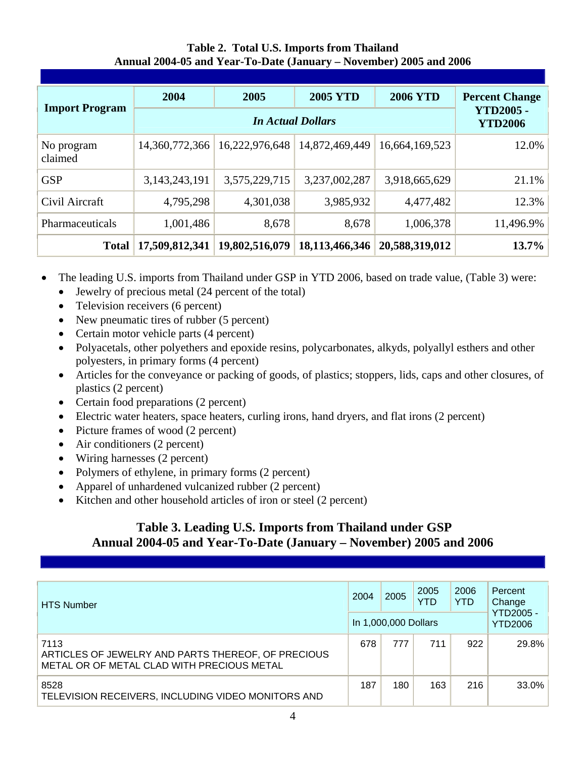**Table 2. Total U.S. Imports from Thailand Annual 2004-05 and Year-To-Date (January – November) 2005 and 2006** 

| <b>Import Program</b> | 2004             | 2005                               | <b>2005 YTD</b> | <b>2006 YTD</b> | <b>Percent Change</b> |
|-----------------------|------------------|------------------------------------|-----------------|-----------------|-----------------------|
|                       |                  | <b>YTD2005 -</b><br><b>YTD2006</b> |                 |                 |                       |
| No program<br>claimed | 14,360,772,366   | 16,222,976,648                     | 14,872,469,449  | 16,664,169,523  | 12.0%                 |
| <b>GSP</b>            | 3, 143, 243, 191 | 3,575,229,715                      | 3,237,002,287   | 3,918,665,629   | 21.1%                 |
| Civil Aircraft        | 4,795,298        | 4,301,038                          | 3,985,932       | 4,477,482       | 12.3%                 |
| Pharmaceuticals       | 1,001,486        | 8,678                              | 8,678           | 1,006,378       | 11,496.9%             |
| <b>Total</b>          | 17,509,812,341   | 19,802,516,079                     | 18,113,466,346  | 20,588,319,012  | 13.7%                 |

- The leading U.S. imports from Thailand under GSP in YTD 2006, based on trade value, (Table 3) were:
	- Jewelry of precious metal (24 percent of the total)
	- Television receivers (6 percent)
	- New pneumatic tires of rubber (5 percent)
	- Certain motor vehicle parts (4 percent)
	- Polyacetals, other polyethers and epoxide resins, polycarbonates, alkyds, polyallyl esthers and other polyesters, in primary forms (4 percent)
	- Articles for the conveyance or packing of goods, of plastics; stoppers, lids, caps and other closures, of plastics (2 percent)
	- Certain food preparations (2 percent)
	- Electric water heaters, space heaters, curling irons, hand dryers, and flat irons (2 percent)
	- Picture frames of wood (2 percent)
	- Air conditioners (2 percent)
	- Wiring harnesses (2 percent)
	- Polymers of ethylene, in primary forms (2 percent)
	- Apparel of unhardened vulcanized rubber (2 percent)
	- Kitchen and other household articles of iron or steel (2 percent)

## **Table 3. Leading U.S. Imports from Thailand under GSP Annual 2004-05 and Year-To-Date (January – November) 2005 and 2006**

| <b>HTS Number</b>                                                                                        | 2004 | 2005<br>In 1,000,000 Dollars | 2005<br>YTD | 2006<br><b>YTD</b> | Percent<br>Change<br><b>YTD2005 -</b><br>YTD2006 |
|----------------------------------------------------------------------------------------------------------|------|------------------------------|-------------|--------------------|--------------------------------------------------|
| 7113<br>ARTICLES OF JEWELRY AND PARTS THEREOF, OF PRECIOUS<br>METAL OR OF METAL CLAD WITH PRECIOUS METAL | 678  | 777                          | 711         | 922                | 29.8%                                            |
| 8528<br>TELEVISION RECEIVERS, INCLUDING VIDEO MONITORS AND                                               | 187  | 180                          | 163         | 216                | 33.0%                                            |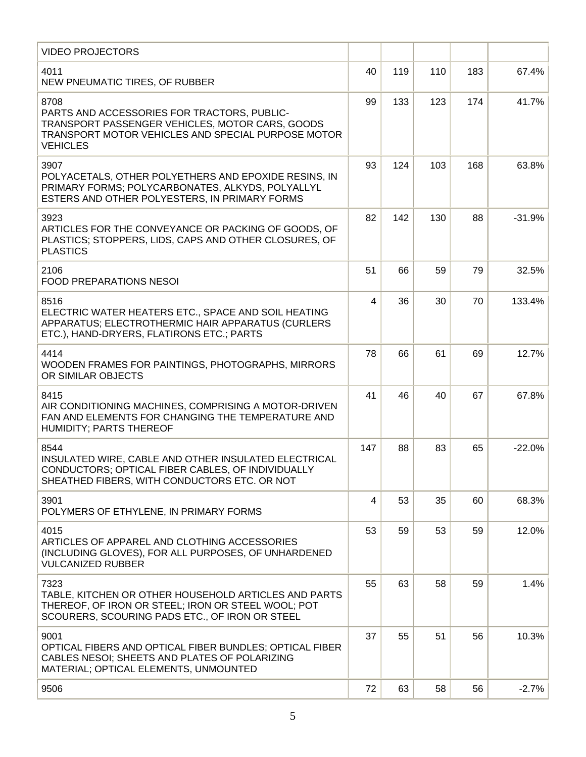| <b>VIDEO PROJECTORS</b>                                                                                                                                                         |     |     |     |     |          |
|---------------------------------------------------------------------------------------------------------------------------------------------------------------------------------|-----|-----|-----|-----|----------|
| 4011<br>NEW PNEUMATIC TIRES, OF RUBBER                                                                                                                                          | 40  | 119 | 110 | 183 | 67.4%    |
| 8708<br>PARTS AND ACCESSORIES FOR TRACTORS, PUBLIC-<br>TRANSPORT PASSENGER VEHICLES, MOTOR CARS, GOODS<br>TRANSPORT MOTOR VEHICLES AND SPECIAL PURPOSE MOTOR<br><b>VEHICLES</b> | 99  | 133 | 123 | 174 | 41.7%    |
| 3907<br>POLYACETALS, OTHER POLYETHERS AND EPOXIDE RESINS, IN<br>PRIMARY FORMS; POLYCARBONATES, ALKYDS, POLYALLYL<br>ESTERS AND OTHER POLYESTERS, IN PRIMARY FORMS               | 93  | 124 | 103 | 168 | 63.8%    |
| 3923<br>ARTICLES FOR THE CONVEYANCE OR PACKING OF GOODS, OF<br>PLASTICS; STOPPERS, LIDS, CAPS AND OTHER CLOSURES, OF<br><b>PLASTICS</b>                                         | 82  | 142 | 130 | 88  | $-31.9%$ |
| 2106<br><b>FOOD PREPARATIONS NESOI</b>                                                                                                                                          | 51  | 66  | 59  | 79  | 32.5%    |
| 8516<br>ELECTRIC WATER HEATERS ETC., SPACE AND SOIL HEATING<br>APPARATUS; ELECTROTHERMIC HAIR APPARATUS (CURLERS<br>ETC.), HAND-DRYERS, FLATIRONS ETC.; PARTS                   | 4   | 36  | 30  | 70  | 133.4%   |
| 4414<br>WOODEN FRAMES FOR PAINTINGS, PHOTOGRAPHS, MIRRORS<br>OR SIMILAR OBJECTS                                                                                                 | 78  | 66  | 61  | 69  | 12.7%    |
| 8415<br>AIR CONDITIONING MACHINES, COMPRISING A MOTOR-DRIVEN<br>FAN AND ELEMENTS FOR CHANGING THE TEMPERATURE AND<br><b>HUMIDITY; PARTS THEREOF</b>                             | 41  | 46  | 40  | 67  | 67.8%    |
| 8544<br>INSULATED WIRE, CABLE AND OTHER INSULATED ELECTRICAL<br>CONDUCTORS; OPTICAL FIBER CABLES, OF INDIVIDUALLY<br>SHEATHED FIBERS, WITH CONDUCTORS ETC. OR NOT               | 147 | 88  | 83  | 65  | $-22.0%$ |
| 3901<br>POLYMERS OF ETHYLENE, IN PRIMARY FORMS                                                                                                                                  | 4   | 53  | 35  | 60  | 68.3%    |
| 4015<br>ARTICLES OF APPAREL AND CLOTHING ACCESSORIES<br>(INCLUDING GLOVES), FOR ALL PURPOSES, OF UNHARDENED<br><b>VULCANIZED RUBBER</b>                                         | 53  | 59  | 53  | 59  | 12.0%    |
| 7323<br>TABLE, KITCHEN OR OTHER HOUSEHOLD ARTICLES AND PARTS<br>THEREOF, OF IRON OR STEEL; IRON OR STEEL WOOL; POT<br>SCOURERS, SCOURING PADS ETC., OF IRON OR STEEL            | 55  | 63  | 58  | 59  | 1.4%     |
| 9001<br>OPTICAL FIBERS AND OPTICAL FIBER BUNDLES; OPTICAL FIBER<br>CABLES NESOI; SHEETS AND PLATES OF POLARIZING<br>MATERIAL; OPTICAL ELEMENTS, UNMOUNTED                       | 37  | 55  | 51  | 56  | 10.3%    |
| 9506                                                                                                                                                                            | 72  | 63  | 58  | 56  | $-2.7%$  |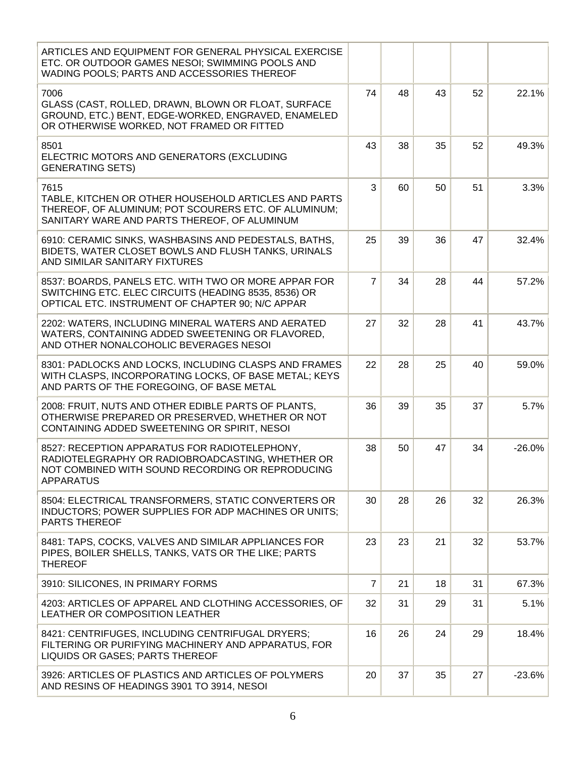| ARTICLES AND EQUIPMENT FOR GENERAL PHYSICAL EXERCISE<br>ETC. OR OUTDOOR GAMES NESOI; SWIMMING POOLS AND<br>WADING POOLS; PARTS AND ACCESSORIES THEREOF                    |                |    |    |    |          |
|---------------------------------------------------------------------------------------------------------------------------------------------------------------------------|----------------|----|----|----|----------|
| 7006<br>GLASS (CAST, ROLLED, DRAWN, BLOWN OR FLOAT, SURFACE<br>GROUND, ETC.) BENT, EDGE-WORKED, ENGRAVED, ENAMELED<br>OR OTHERWISE WORKED, NOT FRAMED OR FITTED           | 74             | 48 | 43 | 52 | 22.1%    |
| 8501<br>ELECTRIC MOTORS AND GENERATORS (EXCLUDING<br><b>GENERATING SETS)</b>                                                                                              | 43             | 38 | 35 | 52 | 49.3%    |
| 7615<br>TABLE, KITCHEN OR OTHER HOUSEHOLD ARTICLES AND PARTS<br>THEREOF, OF ALUMINUM; POT SCOURERS ETC. OF ALUMINUM;<br>SANITARY WARE AND PARTS THEREOF, OF ALUMINUM      | 3              | 60 | 50 | 51 | 3.3%     |
| 6910: CERAMIC SINKS, WASHBASINS AND PEDESTALS, BATHS,<br>BIDETS, WATER CLOSET BOWLS AND FLUSH TANKS, URINALS<br>AND SIMILAR SANITARY FIXTURES                             | 25             | 39 | 36 | 47 | 32.4%    |
| 8537: BOARDS, PANELS ETC. WITH TWO OR MORE APPAR FOR<br>SWITCHING ETC. ELEC CIRCUITS (HEADING 8535, 8536) OR<br>OPTICAL ETC. INSTRUMENT OF CHAPTER 90; N/C APPAR          | $\overline{7}$ | 34 | 28 | 44 | 57.2%    |
| 2202: WATERS, INCLUDING MINERAL WATERS AND AERATED<br>WATERS, CONTAINING ADDED SWEETENING OR FLAVORED,<br>AND OTHER NONALCOHOLIC BEVERAGES NESOI                          | 27             | 32 | 28 | 41 | 43.7%    |
| 8301: PADLOCKS AND LOCKS, INCLUDING CLASPS AND FRAMES<br>WITH CLASPS, INCORPORATING LOCKS, OF BASE METAL; KEYS<br>AND PARTS OF THE FOREGOING, OF BASE METAL               | 22             | 28 | 25 | 40 | 59.0%    |
| 2008: FRUIT, NUTS AND OTHER EDIBLE PARTS OF PLANTS,<br>OTHERWISE PREPARED OR PRESERVED, WHETHER OR NOT<br>CONTAINING ADDED SWEETENING OR SPIRIT, NESOI                    | 36             | 39 | 35 | 37 | 5.7%     |
| 8527: RECEPTION APPARATUS FOR RADIOTELEPHONY,<br>RADIOTELEGRAPHY OR RADIOBROADCASTING, WHETHER OR<br>NOT COMBINED WITH SOUND RECORDING OR REPRODUCING<br><b>APPARATUS</b> | 38             | 50 | 47 | 34 | $-26.0%$ |
| 8504: ELECTRICAL TRANSFORMERS, STATIC CONVERTERS OR<br>INDUCTORS; POWER SUPPLIES FOR ADP MACHINES OR UNITS;<br><b>PARTS THEREOF</b>                                       | 30             | 28 | 26 | 32 | 26.3%    |
| 8481: TAPS, COCKS, VALVES AND SIMILAR APPLIANCES FOR<br>PIPES, BOILER SHELLS, TANKS, VATS OR THE LIKE; PARTS<br><b>THEREOF</b>                                            | 23             | 23 | 21 | 32 | 53.7%    |
| 3910: SILICONES, IN PRIMARY FORMS                                                                                                                                         | $\overline{7}$ | 21 | 18 | 31 | 67.3%    |
| 4203: ARTICLES OF APPAREL AND CLOTHING ACCESSORIES, OF<br>LEATHER OR COMPOSITION LEATHER                                                                                  | 32             | 31 | 29 | 31 | 5.1%     |
| 8421: CENTRIFUGES, INCLUDING CENTRIFUGAL DRYERS;<br>FILTERING OR PURIFYING MACHINERY AND APPARATUS, FOR<br>LIQUIDS OR GASES; PARTS THEREOF                                | 16             | 26 | 24 | 29 | 18.4%    |
| 3926: ARTICLES OF PLASTICS AND ARTICLES OF POLYMERS<br>AND RESINS OF HEADINGS 3901 TO 3914, NESOI                                                                         | 20             | 37 | 35 | 27 | $-23.6%$ |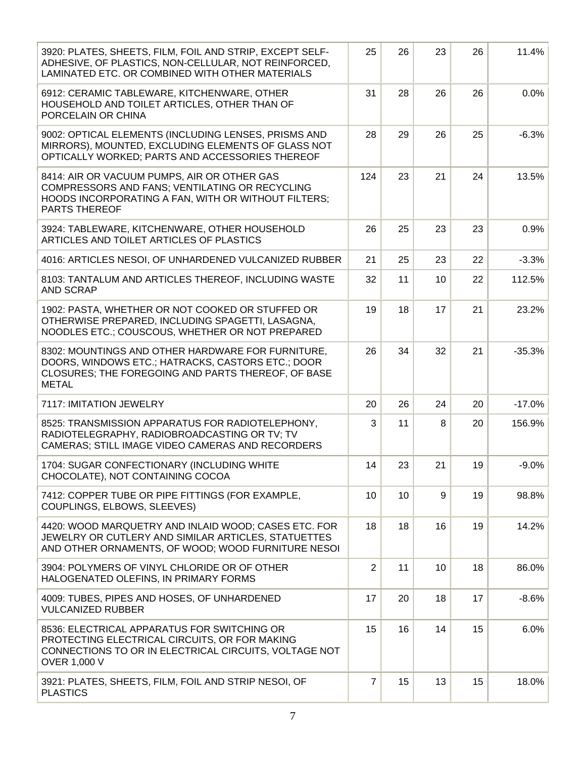| 3920: PLATES, SHEETS, FILM, FOIL AND STRIP, EXCEPT SELF-<br>ADHESIVE, OF PLASTICS, NON-CELLULAR, NOT REINFORCED,<br>LAMINATED ETC. OR COMBINED WITH OTHER MATERIALS          | 25             | 26 | 23 | 26 | 11.4%    |
|------------------------------------------------------------------------------------------------------------------------------------------------------------------------------|----------------|----|----|----|----------|
| 6912: CERAMIC TABLEWARE, KITCHENWARE, OTHER<br>HOUSEHOLD AND TOILET ARTICLES, OTHER THAN OF<br>PORCELAIN OR CHINA                                                            | 31             | 28 | 26 | 26 | 0.0%     |
| 9002: OPTICAL ELEMENTS (INCLUDING LENSES, PRISMS AND<br>MIRRORS), MOUNTED, EXCLUDING ELEMENTS OF GLASS NOT<br>OPTICALLY WORKED; PARTS AND ACCESSORIES THEREOF                | 28             | 29 | 26 | 25 | $-6.3%$  |
| 8414: AIR OR VACUUM PUMPS, AIR OR OTHER GAS<br>COMPRESSORS AND FANS; VENTILATING OR RECYCLING<br>HOODS INCORPORATING A FAN, WITH OR WITHOUT FILTERS;<br><b>PARTS THEREOF</b> | 124            | 23 | 21 | 24 | 13.5%    |
| 3924: TABLEWARE, KITCHENWARE, OTHER HOUSEHOLD<br>ARTICLES AND TOILET ARTICLES OF PLASTICS                                                                                    | 26             | 25 | 23 | 23 | 0.9%     |
| 4016: ARTICLES NESOI, OF UNHARDENED VULCANIZED RUBBER                                                                                                                        | 21             | 25 | 23 | 22 | $-3.3%$  |
| 8103: TANTALUM AND ARTICLES THEREOF, INCLUDING WASTE<br><b>AND SCRAP</b>                                                                                                     | 32             | 11 | 10 | 22 | 112.5%   |
| 1902: PASTA, WHETHER OR NOT COOKED OR STUFFED OR<br>OTHERWISE PREPARED, INCLUDING SPAGETTI, LASAGNA,<br>NOODLES ETC.; COUSCOUS, WHETHER OR NOT PREPARED                      | 19             | 18 | 17 | 21 | 23.2%    |
| 8302: MOUNTINGS AND OTHER HARDWARE FOR FURNITURE,<br>DOORS, WINDOWS ETC.; HATRACKS, CASTORS ETC.; DOOR<br>CLOSURES; THE FOREGOING AND PARTS THEREOF, OF BASE<br><b>METAL</b> | 26             | 34 | 32 | 21 | $-35.3%$ |
| 7117: IMITATION JEWELRY                                                                                                                                                      | 20             | 26 | 24 | 20 | $-17.0%$ |
| 8525: TRANSMISSION APPARATUS FOR RADIOTELEPHONY,<br>RADIOTELEGRAPHY, RADIOBROADCASTING OR TV; TV<br>CAMERAS; STILL IMAGE VIDEO CAMERAS AND RECORDERS                         | 3              | 11 | 8  | 20 | 156.9%   |
| 1704: SUGAR CONFECTIONARY (INCLUDING WHITE<br>CHOCOLATE), NOT CONTAINING COCOA                                                                                               | 14             | 23 | 21 | 19 | $-9.0%$  |
| 7412: COPPER TUBE OR PIPE FITTINGS (FOR EXAMPLE,<br>COUPLINGS, ELBOWS, SLEEVES)                                                                                              | 10             | 10 | 9  | 19 | 98.8%    |
| 4420: WOOD MARQUETRY AND INLAID WOOD; CASES ETC. FOR<br>JEWELRY OR CUTLERY AND SIMILAR ARTICLES, STATUETTES<br>AND OTHER ORNAMENTS, OF WOOD; WOOD FURNITURE NESOI            | 18             | 18 | 16 | 19 | 14.2%    |
| 3904: POLYMERS OF VINYL CHLORIDE OR OF OTHER<br>HALOGENATED OLEFINS, IN PRIMARY FORMS                                                                                        | $\overline{2}$ | 11 | 10 | 18 | 86.0%    |
| 4009: TUBES, PIPES AND HOSES, OF UNHARDENED<br><b>VULCANIZED RUBBER</b>                                                                                                      | 17             | 20 | 18 | 17 | $-8.6%$  |
| 8536: ELECTRICAL APPARATUS FOR SWITCHING OR<br>PROTECTING ELECTRICAL CIRCUITS, OR FOR MAKING<br>CONNECTIONS TO OR IN ELECTRICAL CIRCUITS, VOLTAGE NOT<br>OVER 1,000 V        | 15             | 16 | 14 | 15 | 6.0%     |
| 3921: PLATES, SHEETS, FILM, FOIL AND STRIP NESOI, OF<br><b>PLASTICS</b>                                                                                                      | $\overline{7}$ | 15 | 13 | 15 | 18.0%    |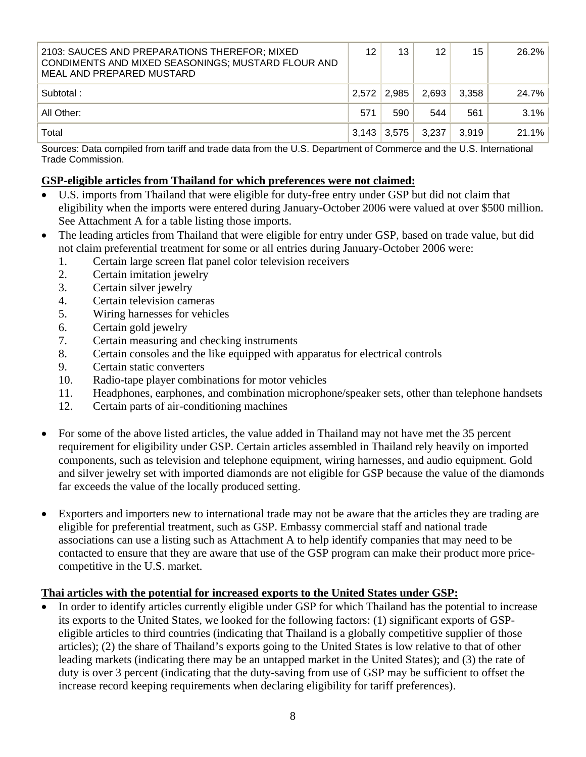| 2103: SAUCES AND PREPARATIONS THEREFOR; MIXED<br>CONDIMENTS AND MIXED SEASONINGS; MUSTARD FLOUR AND<br>MEAL AND PREPARED MUSTARD | 12            | 13    | 12    | 15    | 26.2%   |
|----------------------------------------------------------------------------------------------------------------------------------|---------------|-------|-------|-------|---------|
| Subtotal:                                                                                                                        | 2.572         | 2.985 | 2,693 | 3,358 | 24.7%   |
| All Other:                                                                                                                       | 571           | 590   | 544   | 561   | $3.1\%$ |
| Total                                                                                                                            | $3,143$ 3.575 |       | 3,237 | 3.919 | 21.1%   |

Sources: Data compiled from tariff and trade data from the U.S. Department of Commerce and the U.S. International Trade Commission.

### **GSP-eligible articles from Thailand for which preferences were not claimed:**

- U.S. imports from Thailand that were eligible for duty-free entry under GSP but did not claim that eligibility when the imports were entered during January-October 2006 were valued at over \$500 million. See Attachment A for a table listing those imports.
- The leading articles from Thailand that were eligible for entry under GSP, based on trade value, but did not claim preferential treatment for some or all entries during January-October 2006 were:
	- 1. Certain large screen flat panel color television receivers
	- 2. Certain imitation jewelry
	- 3. Certain silver jewelry
	- 4. Certain television cameras
	- 5. Wiring harnesses for vehicles
	- 6. Certain gold jewelry
	- 7. Certain measuring and checking instruments
	- 8. Certain consoles and the like equipped with apparatus for electrical controls
	- 9. Certain static converters
	- 10. Radio-tape player combinations for motor vehicles
	- 11. Headphones, earphones, and combination microphone/speaker sets, other than telephone handsets
	- 12. Certain parts of air-conditioning machines
- For some of the above listed articles, the value added in Thailand may not have met the 35 percent requirement for eligibility under GSP. Certain articles assembled in Thailand rely heavily on imported components, such as television and telephone equipment, wiring harnesses, and audio equipment. Gold and silver jewelry set with imported diamonds are not eligible for GSP because the value of the diamonds far exceeds the value of the locally produced setting.
- Exporters and importers new to international trade may not be aware that the articles they are trading are eligible for preferential treatment, such as GSP. Embassy commercial staff and national trade associations can use a listing such as Attachment A to help identify companies that may need to be contacted to ensure that they are aware that use of the GSP program can make their product more pricecompetitive in the U.S. market.

### **Thai articles with the potential for increased exports to the United States under GSP:**

• In order to identify articles currently eligible under GSP for which Thailand has the potential to increase its exports to the United States, we looked for the following factors: (1) significant exports of GSPeligible articles to third countries (indicating that Thailand is a globally competitive supplier of those articles); (2) the share of Thailand's exports going to the United States is low relative to that of other leading markets (indicating there may be an untapped market in the United States); and (3) the rate of duty is over 3 percent (indicating that the duty-saving from use of GSP may be sufficient to offset the increase record keeping requirements when declaring eligibility for tariff preferences).